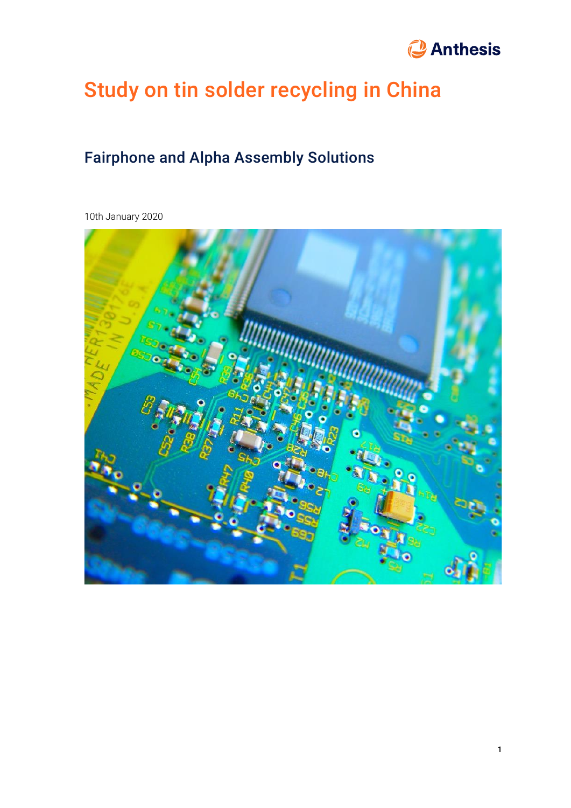# *<u>Anthesis</u>*

# Study on tin solder recycling in China

## Fairphone and Alpha Assembly Solutions

10th January 2020

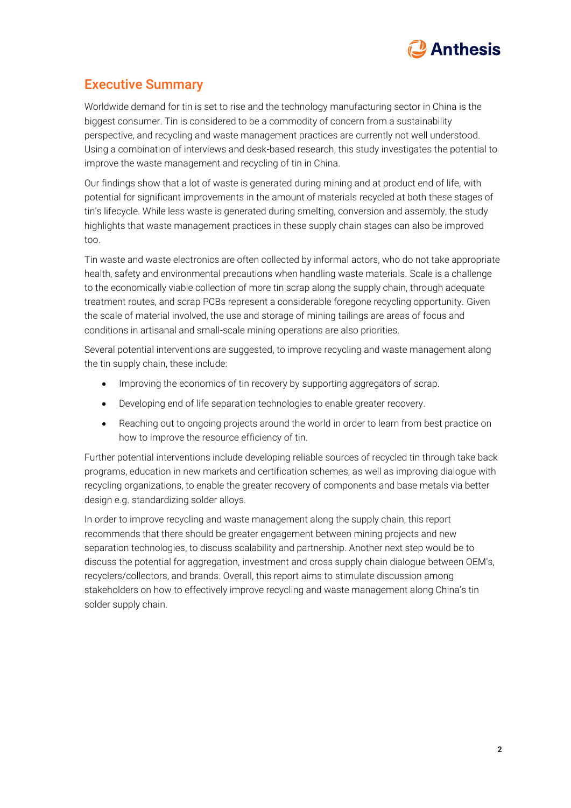

## Executive Summary

Worldwide demand for tin is set to rise and the technology manufacturing sector in China is the biggest consumer. Tin is considered to be a commodity of concern from a sustainability perspective, and recycling and waste management practices are currently not well understood. Using a combination of interviews and desk-based research, this study investigates the potential to improve the waste management and recycling of tin in China.

Our findings show that a lot of waste is generated during mining and at product end of life, with potential for significant improvements in the amount of materials recycled at both these stages of tin's lifecycle. While less waste is generated during smelting, conversion and assembly, the study highlights that waste management practices in these supply chain stages can also be improved too.

Tin waste and waste electronics are often collected by informal actors, who do not take appropriate health, safety and environmental precautions when handling waste materials. Scale is a challenge to the economically viable collection of more tin scrap along the supply chain, through adequate treatment routes, and scrap PCBs represent a considerable foregone recycling opportunity. Given the scale of material involved, the use and storage of mining tailings are areas of focus and conditions in artisanal and small-scale mining operations are also priorities.

Several potential interventions are suggested, to improve recycling and waste management along the tin supply chain, these include:

- Improving the economics of tin recovery by supporting aggregators of scrap.
- Developing end of life separation technologies to enable greater recovery.
- Reaching out to ongoing projects around the world in order to learn from best practice on how to improve the resource efficiency of tin.

Further potential interventions include developing reliable sources of recycled tin through take back programs, education in new markets and certification schemes; as well as improving dialogue with recycling organizations, to enable the greater recovery of components and base metals via better design e.g. standardizing solder alloys.

In order to improve recycling and waste management along the supply chain, this report recommends that there should be greater engagement between mining projects and new separation technologies, to discuss scalability and partnership. Another next step would be to discuss the potential for aggregation, investment and cross supply chain dialogue between OEM's, recyclers/collectors, and brands. Overall, this report aims to stimulate discussion among stakeholders on how to effectively improve recycling and waste management along China's tin solder supply chain.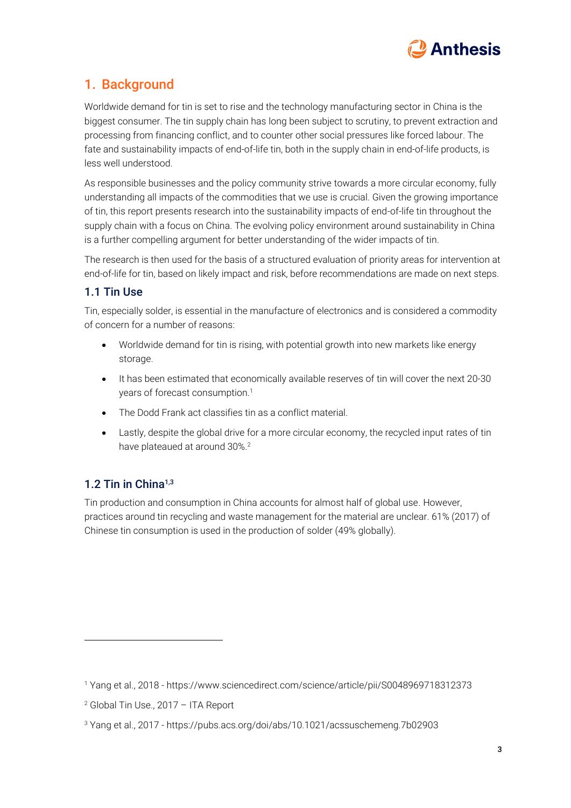

## 1. Background

Worldwide demand for tin is set to rise and the technology manufacturing sector in China is the biggest consumer. The tin supply chain has long been subject to scrutiny, to prevent extraction and processing from financing conflict, and to counter other social pressures like forced labour. The fate and sustainability impacts of end-of-life tin, both in the supply chain in end-of-life products, is less well understood.

As responsible businesses and the policy community strive towards a more circular economy, fully understanding all impacts of the commodities that we use is crucial. Given the growing importance of tin, this report presents research into the sustainability impacts of end-of-life tin throughout the supply chain with a focus on China. The evolving policy environment around sustainability in China is a further compelling argument for better understanding of the wider impacts of tin.

The research is then used for the basis of a structured evaluation of priority areas for intervention at end-of-life for tin, based on likely impact and risk, before recommendations are made on next steps.

#### 1.1 Tin Use

Tin, especially solder, is essential in the manufacture of electronics and is considered a commodity of concern for a number of reasons:

- Worldwide demand for tin is rising, with potential growth into new markets like energy storage.
- <span id="page-2-0"></span>• It has been estimated that economically available reserves of tin will cover the next 20-30 years of forecast consumption.<sup>1</sup>
- The Dodd Frank act classifies tin as a conflict material.
- Lastly, despite the global drive for a more circular economy, the recycled input rates of tin have plateaued at around 30%. 2

## 1.2 Tin in China<sup>[1,3](#page-2-0)</sup>

Tin production and consumption in China accounts for almost half of global use. However, practices around tin recycling and waste management for the material are unclear. 61% (2017) of Chinese tin consumption is used in the production of solder (49% globally).

<sup>1</sup> Yang et al., 2018 - https://www.sciencedirect.com/science/article/pii/S0048969718312373

 $2$  Global Tin Use., 2017 - ITA Report

<sup>3</sup> Yang et al., 2017 - <https://pubs.acs.org/doi/abs/10.1021/acssuschemeng.7b02903>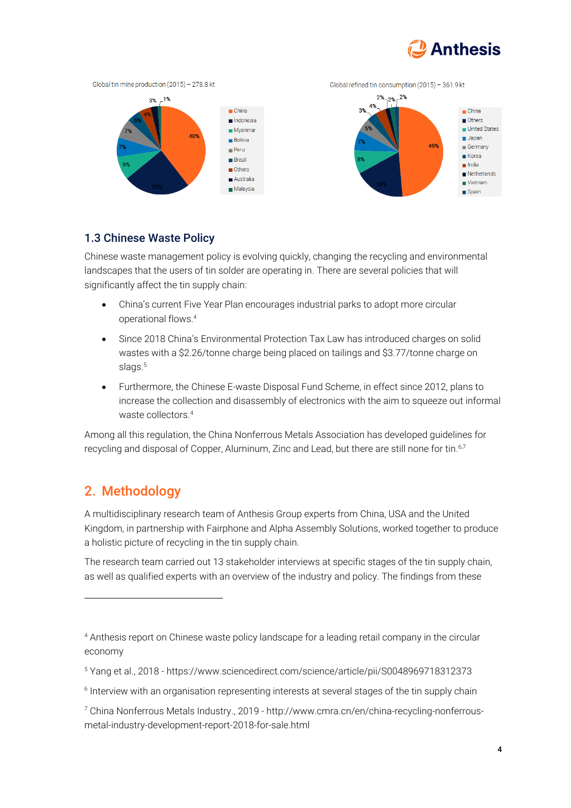



#### 1.3 Chinese Waste Policy

Chinese waste management policy is evolving quickly, changing the recycling and environmental landscapes that the users of tin solder are operating in. There are several policies that will significantly affect the tin supply chain:

- <span id="page-3-0"></span>• China's current Five Year Plan encourages industrial parks to adopt more circular operational flows.<sup>4</sup>
- Since 2018 China's Environmental Protection Tax Law has introduced charges on solid wastes with a \$2.26/tonne charge being placed on tailings and \$3.77/tonne charge on slags.<sup>5</sup>
- Furthermore, the Chinese E-waste Disposal Fund Scheme, in effect since 2012, plans to increase the collection and disassembly of electronics with the aim to squeeze out informal waste collectors<sup>4</sup>

Among all this regulation, the China Nonferrous Metals Association has developed guidelines for recycling and disposal of Copper, Aluminum, Zinc and Lead, but there are still none for tin. 6,7

## 2. Methodology

A multidisciplinary research team of Anthesis Group experts from China, USA and the United Kingdom, in partnership with Fairphone and Alpha Assembly Solutions, worked together to produce a holistic picture of recycling in the tin supply chain.

The research team carried out 13 stakeholder interviews at specific stages of the tin supply chain, as well as qualified experts with an overview of the industry and policy. The findings from these

<sup>4</sup> Anthesis report on Chinese waste policy landscape for a leading retail company in the circular economy

<sup>5</sup> Yang et al., 2018 - https://www.sciencedirect.com/science/article/pii/S0048969718312373

 $^{\rm 6}$  Interview with an organisation representing interests at several stages of the tin supply chain

<sup>7</sup> China Nonferrous Metals Industry., 2019 - http://www.cmra.cn/en/china-recycling-nonferrousmetal-industry-development-report-2018-for-sale.html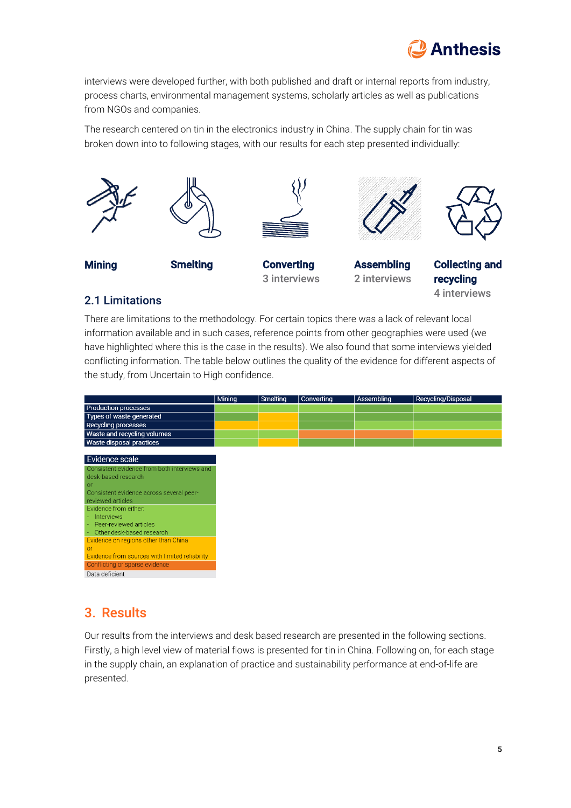

interviews were developed further, with both published and draft or internal reports from industry, process charts, environmental management systems, scholarly articles as well as publications from NGOs and companies.

The research centered on tin in the electronics industry in China. The supply chain for tin was broken down into to following stages, with our results for each step presented individually:



## 2.1 Limitations

There are limitations to the methodology. For certain topics there was a lack of relevant local information available and in such cases, reference points from other geographies were used (we have highlighted where this is the case in the results). We also found that some interviews yielded conflicting information. The table below outlines the quality of the evidence for different aspects of the study, from Uncertain to High confidence.

|                                                | Mining | Smelting | Converting | Assembling | Recycling/Disposal |
|------------------------------------------------|--------|----------|------------|------------|--------------------|
| <b>Production processes</b>                    |        |          |            |            |                    |
| Types of waste generated                       |        |          |            |            |                    |
| <b>Recycling processes</b>                     |        |          |            |            |                    |
| Waste and recycling volumes                    |        |          |            |            |                    |
| Waste disposal practices                       |        |          |            |            |                    |
|                                                |        |          |            |            |                    |
| Evidence scale                                 |        |          |            |            |                    |
| Consistent evidence from both interviews and   |        |          |            |            |                    |
| desk-based research                            |        |          |            |            |                    |
| <b>or</b>                                      |        |          |            |            |                    |
| Consistent evidence across several peer-       |        |          |            |            |                    |
| reviewed articles                              |        |          |            |            |                    |
| Evidence from either:                          |        |          |            |            |                    |
| Interviews                                     |        |          |            |            |                    |
| Peer-reviewed articles                         |        |          |            |            |                    |
| Other desk-based research                      |        |          |            |            |                    |
| Evidence on regions other than China           |        |          |            |            |                    |
| or                                             |        |          |            |            |                    |
| Evidence from sources with limited reliability |        |          |            |            |                    |
| Conflicting or sparse evidence                 |        |          |            |            |                    |
| Data deficient                                 |        |          |            |            |                    |
|                                                |        |          |            |            |                    |

## 3. Results

Our results from the interviews and desk based research are presented in the following sections. Firstly, a high level view of material flows is presented for tin in China. Following on, for each stage in the supply chain, an explanation of practice and sustainability performance at end-of-life are presented.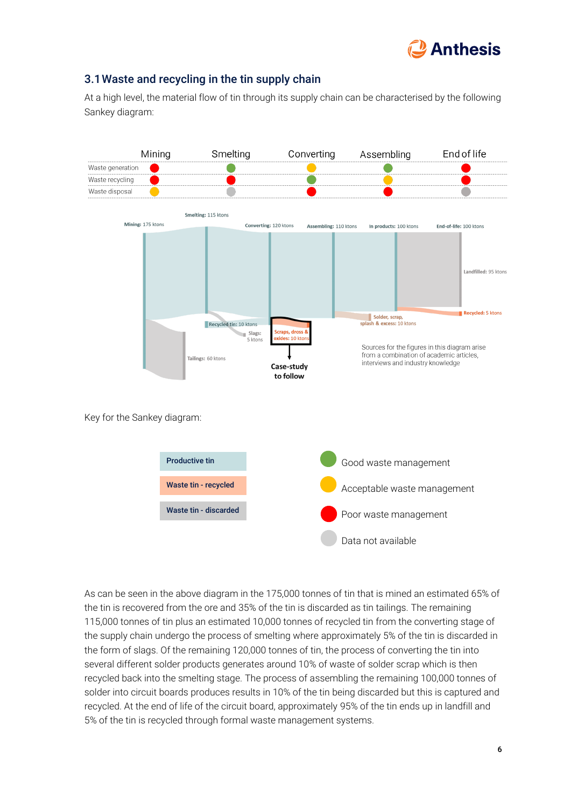

### 3.1Waste and recycling in the tin supply chain

At a high level, the material flow of tin through its supply chain can be characterised by the following Sankey diagram:



As can be seen in the above diagram in the 175,000 tonnes of tin that is mined an estimated 65% of the tin is recovered from the ore and 35% of the tin is discarded as tin tailings. The remaining 115,000 tonnes of tin plus an estimated 10,000 tonnes of recycled tin from the converting stage of the supply chain undergo the process of smelting where approximately 5% of the tin is discarded in the form of slags. Of the remaining 120,000 tonnes of tin, the process of converting the tin into several different solder products generates around 10% of waste of solder scrap which is then recycled back into the smelting stage. The process of assembling the remaining 100,000 tonnes of solder into circuit boards produces results in 10% of the tin being discarded but this is captured and recycled. At the end of life of the circuit board, approximately 95% of the tin ends up in landfill and 5% of the tin is recycled through formal waste management systems.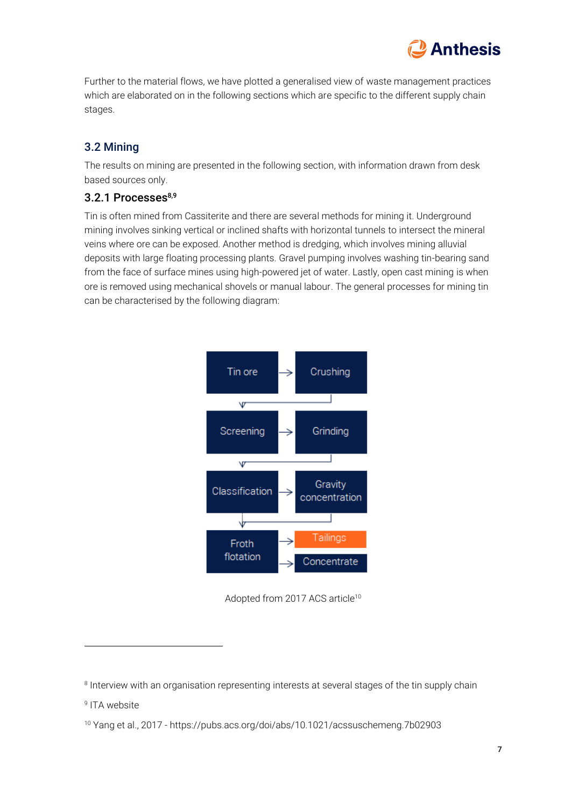

Further to the material flows, we have plotted a generalised view of waste management practices which are elaborated on in the following sections which are specific to the different supply chain stages.

## 3.2 Mining

The results on mining are presented in the following section, with information drawn from desk based sources only.

#### 3.2.1 Processes<sup>8,9</sup>

Tin is often mined from Cassiterite and there are several methods for mining it. Underground mining involves sinking vertical or inclined shafts with horizontal tunnels to intersect the mineral veins where ore can be exposed. Another method is dredging, which involves mining alluvial deposits with large floating processing plants. Gravel pumping involves washing tin-bearing sand from the face of surface mines using high-powered jet of water. Lastly, open cast mining is when ore is removed using mechanical shovels or manual labour. The general processes for mining tin can be characterised by the following diagram:



Adopted from 2017 ACS article<sup>10</sup>

 $^{\text{\tiny{\textregistered}}}$  Interview with an organisation representing interests at several stages of the tin supply chain

<sup>&</sup>lt;sup>9</sup> ITA website

<sup>10</sup> Yang et al., 2017 - https://pubs.acs.org/doi/abs/10.1021/acssuschemeng.7b02903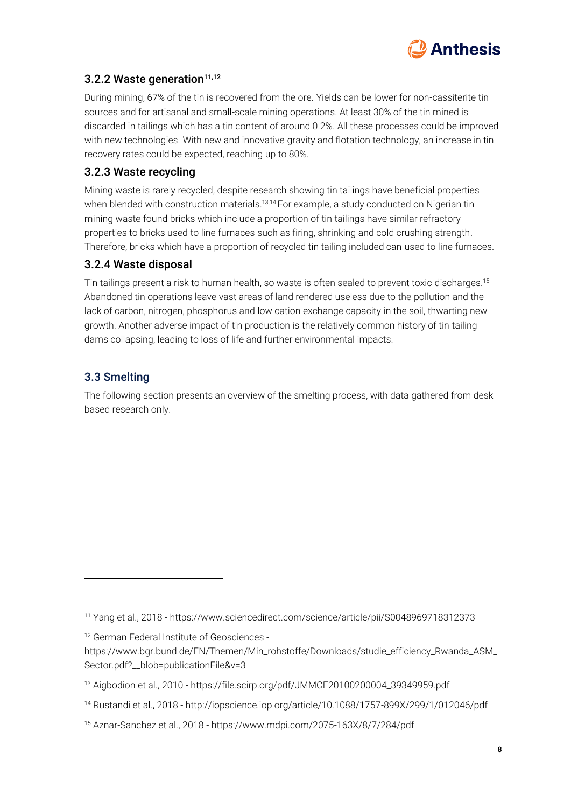

## 3.2.2 Waste generation $11,12$

During mining, 67% of the tin is recovered from the ore. Yields can be lower for non-cassiterite tin sources and for artisanal and small-scale mining operations. At least 30% of the tin mined is discarded in tailings which has a tin content of around 0.2%. All these processes could be improved with new technologies. With new and innovative gravity and flotation technology, an increase in tin recovery rates could be expected, reaching up to 80%.

### 3.2.3 Waste recycling

Mining waste is rarely recycled, despite research showing tin tailings have beneficial properties when blended with construction materials.<sup>13,14</sup> For example, a study conducted on Nigerian tin mining waste found bricks which include a proportion of tin tailings have similar refractory properties to bricks used to line furnaces such as firing, shrinking and cold crushing strength. Therefore, bricks which have a proportion of recycled tin tailing included can used to line furnaces.

### 3.2.4 Waste disposal

Tin tailings present a risk to human health, so waste is often sealed to prevent toxic discharges. 15 Abandoned tin operations leave vast areas of land rendered useless due to the pollution and the lack of carbon, nitrogen, phosphorus and low cation exchange capacity in the soil, thwarting new growth. Another adverse impact of tin production is the relatively common history of tin tailing dams collapsing, leading to loss of life and further environmental impacts.

## 3.3 Smelting

The following section presents an overview of the smelting process, with data gathered from desk based research only.

<sup>11</sup> Yang et al., 2018 - https://www.sciencedirect.com/science/article/pii/S0048969718312373

<sup>12</sup> German Federal Institute of Geosciences -

https://www.bgr.bund.de/EN/Themen/Min\_rohstoffe/Downloads/studie\_efficiency\_Rwanda\_ASM\_ Sector.pdf?\_\_blob=publicationFile&v=3

<sup>13</sup> Aigbodion et al., 2010 - https://file.scirp.org/pdf/JMMCE20100200004\_39349959.pdf

<sup>14</sup> Rustandi et al., 2018 - http://iopscience.iop.org/article/10.1088/1757-899X/299/1/012046/pdf

<sup>15</sup> Aznar-Sanchez et al., 2018 - https://www.mdpi.com/2075-163X/8/7/284/pdf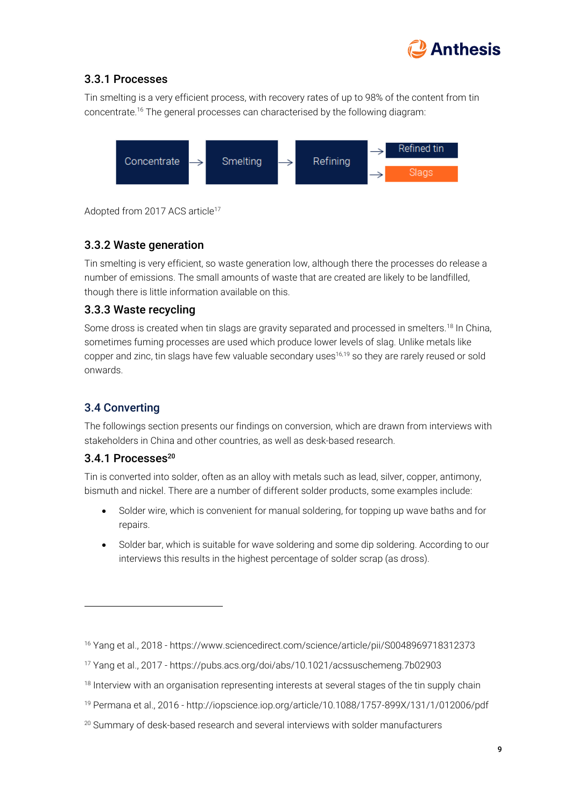

## 3.3.1 Processes

Tin smelting is a very efficient process, with recovery rates of up to 98% of the content from tin concentrate.<sup>16</sup> The general processes can characterised by the following diagram:

<span id="page-8-0"></span>

Adopted from 2017 ACS article<sup>17</sup>

## 3.3.2 Waste generation

Tin smelting is very efficient, so waste generation low, although there the processes do release a number of emissions. The small amounts of waste that are created are likely to be landfilled, though there is little information available on this.

## 3.3.3 Waste recycling

Some dross is created when tin slags are gravity separated and processed in smelters.<sup>18</sup> In China, sometimes fuming processes are used which produce lower levels of slag. Unlike metals like copper and zinc, tin slags have few valuable secondary uses<sup>[16,1](#page-8-0)9</sup> so they are rarely reused or sold onwards.

## 3.4 Converting

The followings section presents our findings on conversion, which are drawn from interviews with stakeholders in China and other countries, as well as desk-based research.

## $3.4.1$  Processes<sup>20</sup>

Tin is converted into solder, often as an alloy with metals such as lead, silver, copper, antimony, bismuth and nickel. There are a number of different solder products, some examples include:

- Solder wire, which is convenient for manual soldering, for topping up wave baths and for repairs.
- Solder bar, which is suitable for wave soldering and some dip soldering. According to our interviews this results in the highest percentage of solder scrap (as dross).

<sup>16</sup> Yang et al., 2018 - https://www.sciencedirect.com/science/article/pii/S0048969718312373

<sup>17</sup> Yang et al., 2017 - https://pubs.acs.org/doi/abs/10.1021/acssuschemeng.7b02903

<sup>&</sup>lt;sup>18</sup> Interview with an organisation representing interests at several stages of the tin supply chain

<sup>19</sup> Permana et al., 2016 - http://iopscience.iop.org/article/10.1088/1757-899X/131/1/012006/pdf

<sup>&</sup>lt;sup>20</sup> Summary of desk-based research and several interviews with solder manufacturers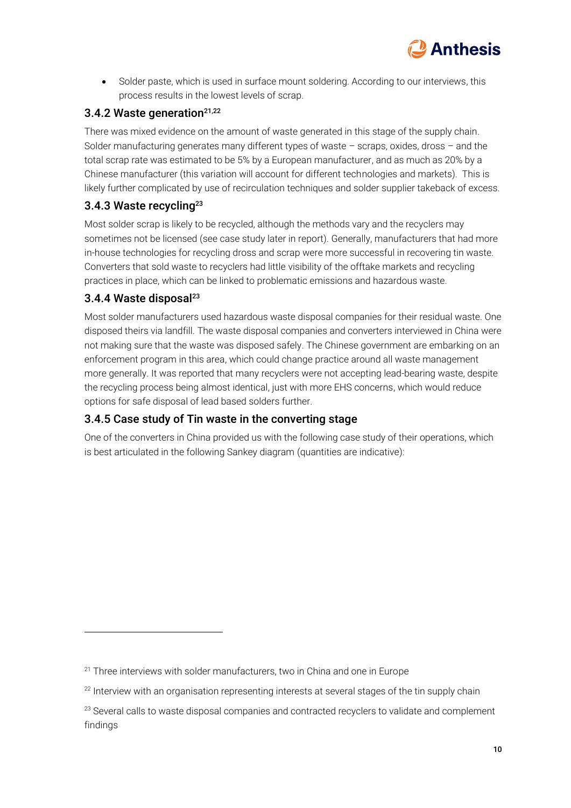

• Solder paste, which is used in surface mount soldering. According to our interviews, this process results in the lowest levels of scrap.

#### 3.4.2 Waste generation<sup>21,22</sup>

There was mixed evidence on the amount of waste generated in this stage of the supply chain. Solder manufacturing generates many different types of waste – scraps, oxides, dross – and the total scrap rate was estimated to be 5% by a European manufacturer, and as much as 20% by a Chinese manufacturer (this variation will account for different technologies and markets). This is likely further complicated by use of recirculation techniques and solder supplier takeback of excess.

### <span id="page-9-0"></span>3.4.3 Waste recycling<sup>23</sup>

Most solder scrap is likely to be recycled, although the methods vary and the recyclers may sometimes not be licensed (see case study later in report). Generally, manufacturers that had more in-house technologies for recycling dross and scrap were more successful in recovering tin waste. Converters that sold waste to recyclers had little visibility of the offtake markets and recycling practices in place, which can be linked to problematic emissions and hazardous waste.

#### 3.4.4 Waste disposal $^{23}$  $^{23}$  $^{23}$

Most solder manufacturers used hazardous waste disposal companies for their residual waste. One disposed theirs via landfill. The waste disposal companies and converters interviewed in China were not making sure that the waste was disposed safely. The Chinese government are embarking on an enforcement program in this area, which could change practice around all waste management more generally. It was reported that many recyclers were not accepting lead-bearing waste, despite the recycling process being almost identical, just with more EHS concerns, which would reduce options for safe disposal of lead based solders further.

#### 3.4.5 Case study of Tin waste in the converting stage

One of the converters in China provided us with the following case study of their operations, which is best articulated in the following Sankey diagram (quantities are indicative):

<sup>&</sup>lt;sup>21</sup> Three interviews with solder manufacturers, two in China and one in Europe

 $22$  Interview with an organisation representing interests at several stages of the tin supply chain

<sup>&</sup>lt;sup>23</sup> Several calls to waste disposal companies and contracted recyclers to validate and complement findings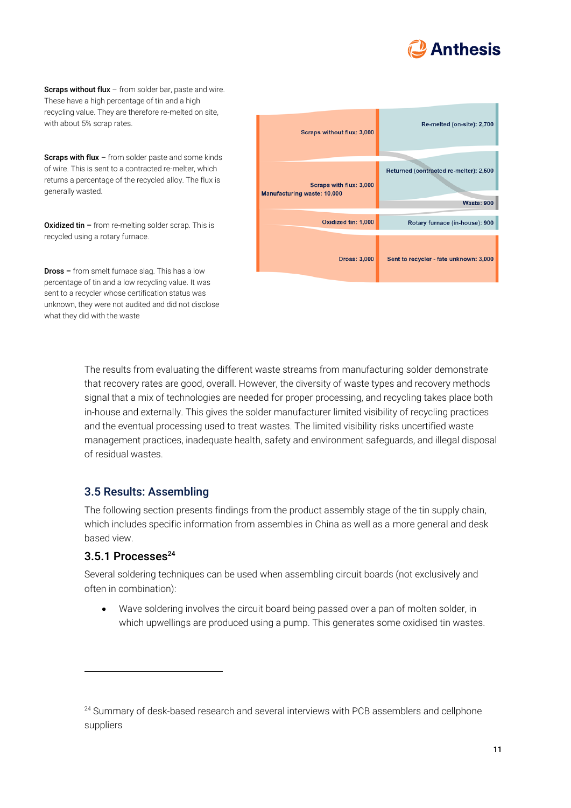

Scraps without flux - from solder bar, paste and wire. These have a high percentage of tin and a high recycling value. They are therefore re-melted on site, with about 5% scrap rates.

Scraps with flux - from solder paste and some kinds of wire. This is sent to a contracted re-melter, which returns a percentage of the recycled alloy. The flux is generally wasted.

Oxidized tin – from re-melting solder scrap. This is recycled using a rotary furnace.

Dross – from smelt furnace slag. This has a low percentage of tin and a low recycling value. It was sent to a recycler whose certification status was unknown, they were not audited and did not disclose what they did with the waste

| <b>Scraps without flux: 3,000</b>                             | Re-melted (on-site): 2,700                                  |  |  |
|---------------------------------------------------------------|-------------------------------------------------------------|--|--|
| Scraps with flux: 3,000<br><b>Manufacturing waste: 10,000</b> | Returned (contracted re-melter): 2,500<br><b>Waste: 900</b> |  |  |
| Oxidized tin: 1,000                                           | Rotary furnace (in-house): 900                              |  |  |
| <b>Dross: 3,000</b>                                           | Sent to recycler - fate unknown: 3,000                      |  |  |

The results from evaluating the different waste streams from manufacturing solder demonstrate that recovery rates are good, overall. However, the diversity of waste types and recovery methods signal that a mix of technologies are needed for proper processing, and recycling takes place both in-house and externally. This gives the solder manufacturer limited visibility of recycling practices and the eventual processing used to treat wastes. The limited visibility risks uncertified waste management practices, inadequate health, safety and environment safeguards, and illegal disposal of residual wastes.

#### 3.5 Results: Assembling

The following section presents findings from the product assembly stage of the tin supply chain, which includes specific information from assembles in China as well as a more general and desk based view.

#### 3.5.1 Processes<sup>24</sup>

Several soldering techniques can be used when assembling circuit boards (not exclusively and often in combination):

• Wave soldering involves the circuit board being passed over a pan of molten solder, in which upwellings are produced using a pump. This generates some oxidised tin wastes.

<sup>&</sup>lt;sup>24</sup> Summary of desk-based research and several interviews with PCB assemblers and cellphone suppliers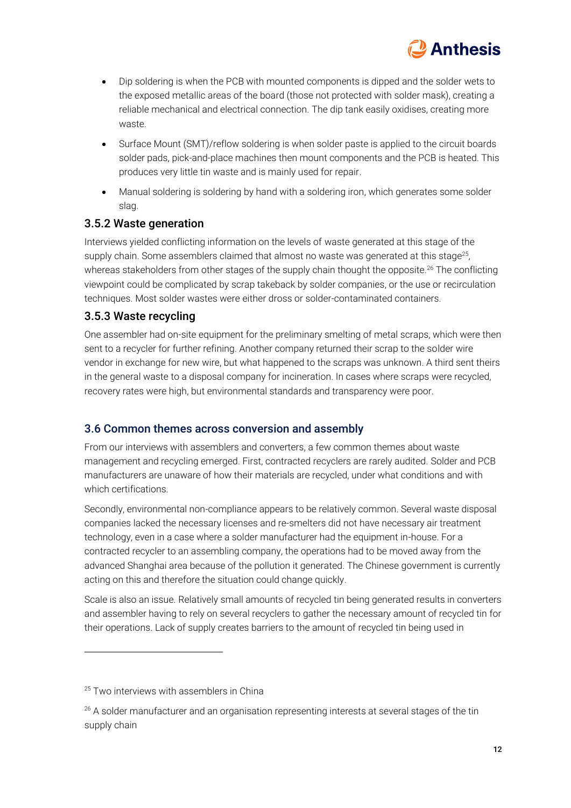

- Dip soldering is when the PCB with mounted components is dipped and the solder wets to the exposed metallic areas of the board (those not protected with solder mask), creating a reliable mechanical and electrical connection. The dip tank easily oxidises, creating more waste.
- Surface Mount (SMT)/reflow soldering is when solder paste is applied to the circuit boards solder pads, pick-and-place machines then mount components and the PCB is heated. This produces very little tin waste and is mainly used for repair.
- Manual soldering is soldering by hand with a soldering iron, which generates some solder slag.

#### 3.5.2 Waste generation

Interviews yielded conflicting information on the levels of waste generated at this stage of the supply chain. Some assemblers claimed that almost no waste was generated at this stage<sup>25</sup>, whereas stakeholders from other stages of the supply chain thought the opposite.<sup>26</sup> The conflicting viewpoint could be complicated by scrap takeback by solder companies, or the use or recirculation techniques. Most solder wastes were either dross or solder-contaminated containers.

#### 3.5.3 Waste recycling

One assembler had on-site equipment for the preliminary smelting of metal scraps, which were then sent to a recycler for further refining. Another company returned their scrap to the solder wire vendor in exchange for new wire, but what happened to the scraps was unknown. A third sent theirs in the general waste to a disposal company for incineration. In cases where scraps were recycled, recovery rates were high, but environmental standards and transparency were poor.

#### 3.6 Common themes across conversion and assembly

From our interviews with assemblers and converters, a few common themes about waste management and recycling emerged. First, contracted recyclers are rarely audited. Solder and PCB manufacturers are unaware of how their materials are recycled, under what conditions and with which certifications.

Secondly, environmental non-compliance appears to be relatively common. Several waste disposal companies lacked the necessary licenses and re-smelters did not have necessary air treatment technology, even in a case where a solder manufacturer had the equipment in-house. For a contracted recycler to an assembling company, the operations had to be moved away from the advanced Shanghai area because of the pollution it generated. The Chinese government is currently acting on this and therefore the situation could change quickly.

Scale is also an issue. Relatively small amounts of recycled tin being generated results in converters and assembler having to rely on several recyclers to gather the necessary amount of recycled tin for their operations. Lack of supply creates barriers to the amount of recycled tin being used in

<sup>&</sup>lt;sup>25</sup> Two interviews with assemblers in China

<sup>&</sup>lt;sup>26</sup> A solder manufacturer and an organisation representing interests at several stages of the tin supply chain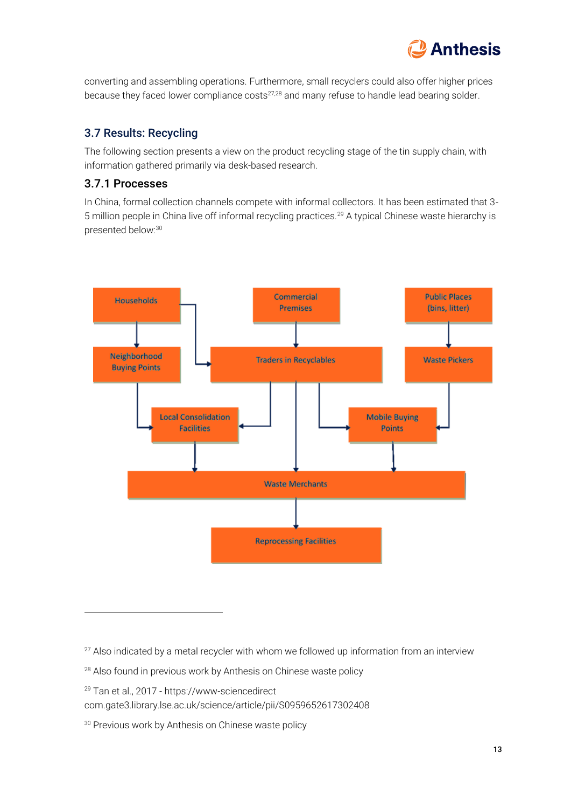

converting and assembling operations. Furthermore, small recyclers could also offer higher prices because they faced lower compliance costs<sup>27,28</sup> and many refuse to handle lead bearing solder.

#### 3.7 Results: Recycling

The following section presents a view on the product recycling stage of the tin supply chain, with information gathered primarily via desk-based research.

#### 3.7.1 Processes

In China, formal collection channels compete with informal collectors. It has been estimated that 3- 5 million people in China live off informal recycling practices.<sup>29</sup> A typical Chinese waste hierarchy is presented below:<sup>30</sup>



- $27$  Also indicated by a metal recycler with whom we followed up information from an interview
- <sup>28</sup> Also found in previous work by Anthesis on Chinese waste policy
- <sup>29</sup> Tan et al., 2017 https://www-sciencedirect

com.gate3.library.lse.ac.uk/science/article/pii/S0959652617302408

<sup>30</sup> Previous work by Anthesis on Chinese waste policy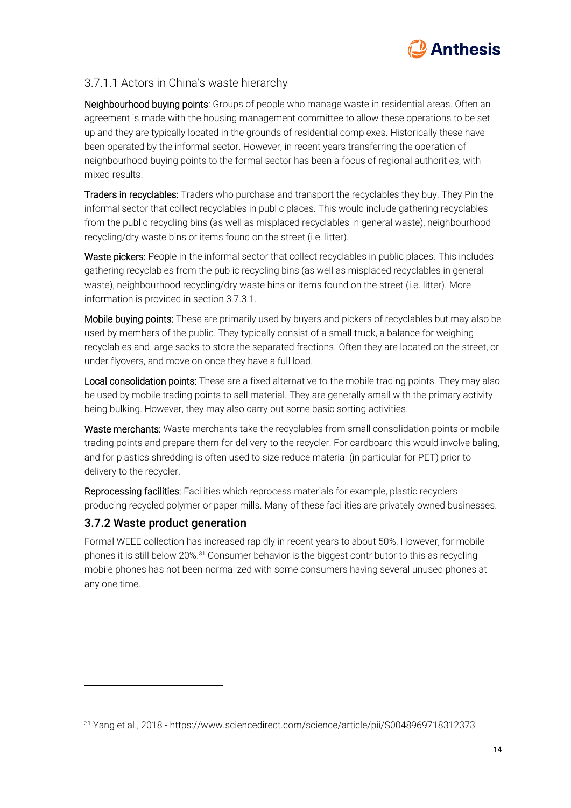

#### 3.7.1.1 Actors in China's waste hierarchy

Neighbourhood buying points: Groups of people who manage waste in residential areas. Often an agreement is made with the housing management committee to allow these operations to be set up and they are typically located in the grounds of residential complexes. Historically these have been operated by the informal sector. However, in recent years transferring the operation of neighbourhood buying points to the formal sector has been a focus of regional authorities, with mixed results.

Traders in recyclables: Traders who purchase and transport the recyclables they buy. They Pin the informal sector that collect recyclables in public places. This would include gathering recyclables from the public recycling bins (as well as misplaced recyclables in general waste), neighbourhood recycling/dry waste bins or items found on the street (i.e. litter).

Waste pickers: People in the informal sector that collect recyclables in public places. This includes gathering recyclables from the public recycling bins (as well as misplaced recyclables in general waste), neighbourhood recycling/dry waste bins or items found on the street (i.e. litter). More information is provided in section 3.7.3.1.

Mobile buying points: These are primarily used by buyers and pickers of recyclables but may also be used by members of the public. They typically consist of a small truck, a balance for weighing recyclables and large sacks to store the separated fractions. Often they are located on the street, or under flyovers, and move on once they have a full load.

Local consolidation points: These are a fixed alternative to the mobile trading points. They may also be used by mobile trading points to sell material. They are generally small with the primary activity being bulking. However, they may also carry out some basic sorting activities.

Waste merchants: Waste merchants take the recyclables from small consolidation points or mobile trading points and prepare them for delivery to the recycler. For cardboard this would involve baling, and for plastics shredding is often used to size reduce material (in particular for PET) prior to delivery to the recycler.

Reprocessing facilities: Facilities which reprocess materials for example, plastic recyclers producing recycled polymer or paper mills. Many of these facilities are privately owned businesses.

#### 3.7.2 Waste product generation

Formal WEEE collection has increased rapidly in recent years to about 50%. However, for mobile phones it is still below 20%. <sup>31</sup> Consumer behavior is the biggest contributor to this as recycling mobile phones has not been normalized with some consumers having several unused phones at any one time.

<sup>31</sup> Yang et al., 2018 - https://www.sciencedirect.com/science/article/pii/S0048969718312373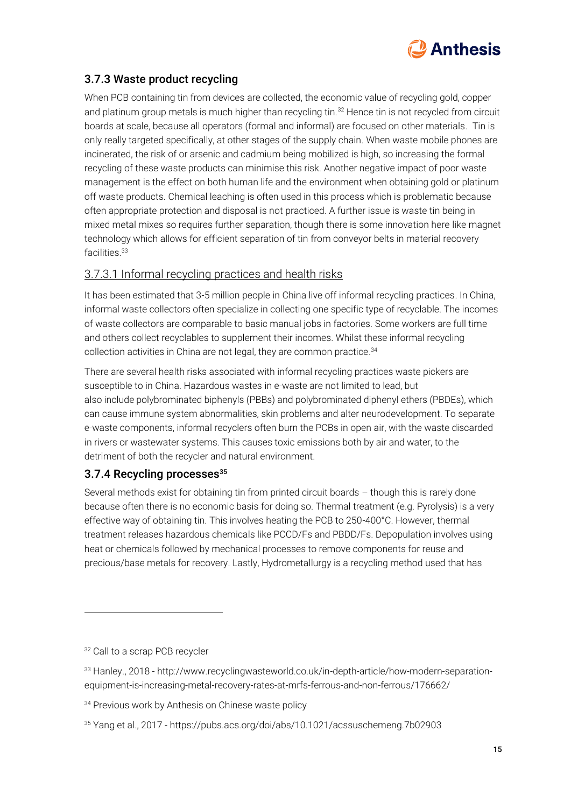

## 3.7.3 Waste product recycling

When PCB containing tin from devices are collected, the economic value of recycling gold, copper and platinum group metals is much higher than recycling tin.<sup>32</sup> Hence tin is not recycled from circuit boards at scale, because all operators (formal and informal) are focused on other materials. Tin is only really targeted specifically, at other stages of the supply chain. When waste mobile phones are incinerated, the risk of or arsenic and cadmium being mobilized is high, so increasing the formal recycling of these waste products can minimise this risk. Another negative impact of poor waste management is the effect on both human life and the environment when obtaining gold or platinum off waste products. Chemical leaching is often used in this process which is problematic because often appropriate protection and disposal is not practiced. A further issue is waste tin being in mixed metal mixes so requires further separation, though there is some innovation here like magnet technology which allows for efficient separation of tin from conveyor belts in material recovery facilities. 33

## 3.7.3.1 Informal recycling practices and health risks

It has been estimated that 3-5 million people in China live off informal recycling practices. In China, informal waste collectors often specialize in collecting one specific type of recyclable. The incomes of waste collectors are comparable to basic manual jobs in factories. Some workers are full time and others collect recyclables to supplement their incomes. Whilst these informal recycling collection activities in China are not legal, they are common practice. 34

There are several health risks associated with informal recycling practices waste pickers are susceptible to in China. Hazardous wastes in e-waste are not limited to lead, but also include polybrominated biphenyls (PBBs) and polybrominated diphenyl ethers (PBDEs), which can cause immune system abnormalities, skin problems and alter neurodevelopment. To separate e-waste components, informal recyclers often burn the PCBs in open air, with the waste discarded in rivers or wastewater systems. This causes toxic emissions both by air and water, to the detriment of both the recycler and natural environment.

## 3.7.4 Recycling processes<sup>35</sup>

Several methods exist for obtaining tin from printed circuit boards – though this is rarely done because often there is no economic basis for doing so. Thermal treatment (e.g. Pyrolysis) is a very effective way of obtaining tin. This involves heating the PCB to 250-400°C. However, thermal treatment releases hazardous chemicals like PCCD/Fs and PBDD/Fs. Depopulation involves using heat or chemicals followed by mechanical processes to remove components for reuse and precious/base metals for recovery. Lastly, Hydrometallurgy is a recycling method used that has

<sup>&</sup>lt;sup>32</sup> Call to a scrap PCB recycler

<sup>33</sup> Hanley., 2018 - http://www.recyclingwasteworld.co.uk/in-depth-article/how-modern-separationequipment-is-increasing-metal-recovery-rates-at-mrfs-ferrous-and-non-ferrous/176662/

<sup>&</sup>lt;sup>34</sup> Previous work by Anthesis on Chinese waste policy

<sup>35</sup> Yang et al., 2017 - https://pubs.acs.org/doi/abs/10.1021/acssuschemeng.7b02903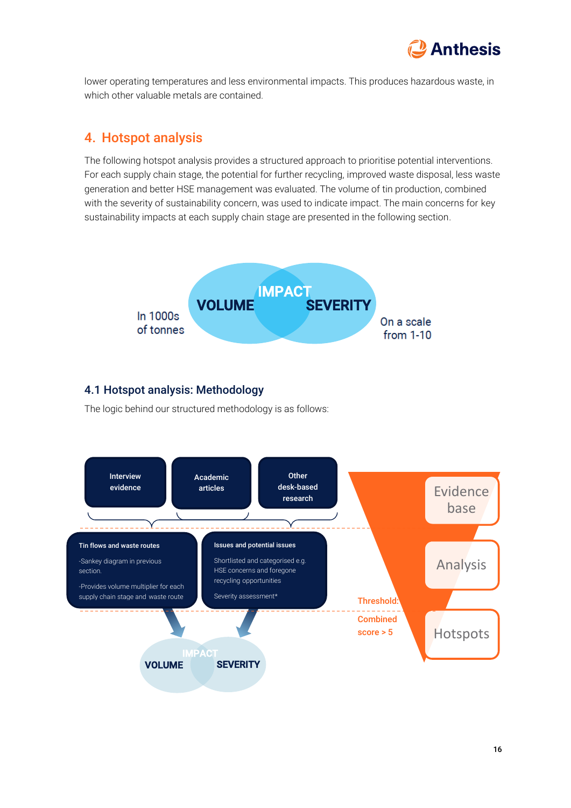

lower operating temperatures and less environmental impacts. This produces hazardous waste, in which other valuable metals are contained.

## 4. Hotspot analysis

The following hotspot analysis provides a structured approach to prioritise potential interventions. For each supply chain stage, the potential for further recycling, improved waste disposal, less waste generation and better HSE management was evaluated. The volume of tin production, combined with the severity of sustainability concern, was used to indicate impact. The main concerns for key sustainability impacts at each supply chain stage are presented in the following section.



#### 4.1 Hotspot analysis: Methodology

The logic behind our structured methodology is as follows:

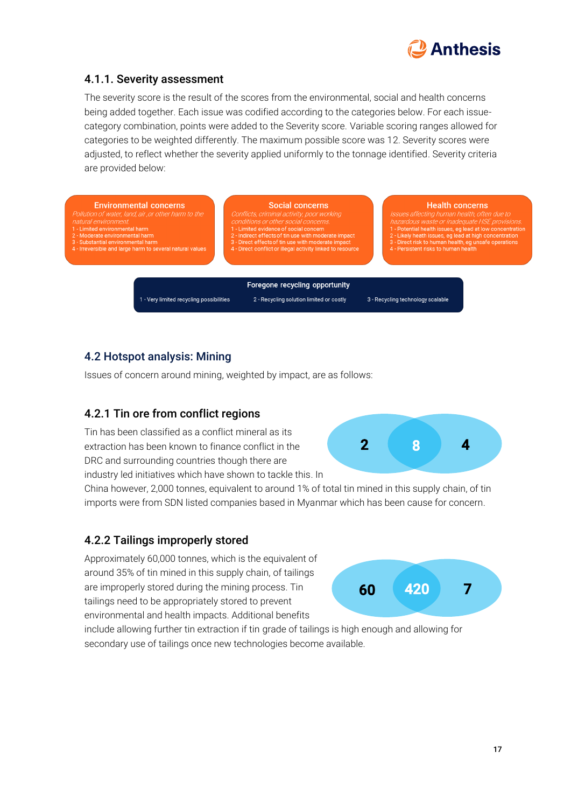

ncerns often due to **HSF** provisions at low concentration

#### 4.1.1. Severity assessment

The severity score is the result of the scores from the environmental, social and health concerns being added together. Each issue was codified according to the categories below. For each issuecategory combination, points were added to the Severity score. Variable scoring ranges allowed for categories to be weighted differently. The maximum possible score was 12. Severity scores were adjusted, to reflect whether the severity applied uniformly to the tonnage identified. Severity criteria are provided below:

| <b>Environmental concerns</b><br>Pollution of water, land, air or other harm to the<br>natural environment.<br>1 - Limited environmental harm<br>2 - Moderate environmental harm<br>3 - Substantial environmental harm<br>4 - Irreversible and large harm to several natural values | <b>Social concerns</b><br>Conflicts, criminal activity, poor working<br>conditions or other social concerns.<br>1 - Limited evidence of social concern<br>2 - Indirect effects of tin use with moderate impact<br>3 - Direct effects of tin use with moderate impact<br>4 - Direct conflict or illegal activity linked to resource | <b>Health co</b><br>Issues affecting human h<br>hazardous waste or inade<br>1 - Potential health issues, ed<br>2 - Likely heath issues, eg lea<br>3 - Direct risk to human healt<br>4 - Persistent risks to human |
|-------------------------------------------------------------------------------------------------------------------------------------------------------------------------------------------------------------------------------------------------------------------------------------|------------------------------------------------------------------------------------------------------------------------------------------------------------------------------------------------------------------------------------------------------------------------------------------------------------------------------------|-------------------------------------------------------------------------------------------------------------------------------------------------------------------------------------------------------------------|
|                                                                                                                                                                                                                                                                                     | Foregone recycling opportunity                                                                                                                                                                                                                                                                                                     |                                                                                                                                                                                                                   |
| 1 - Very limited recycling possibilities                                                                                                                                                                                                                                            | 2 - Recycling solution limited or costly                                                                                                                                                                                                                                                                                           | 3 - Recycling technology scalable                                                                                                                                                                                 |

## 4.2 Hotspot analysis: Mining

Issues of concern around mining, weighted by impact, are as follows:

## 4.2.1 Tin ore from conflict regions

Tin has been classified as a conflict mineral as its extraction has been known to finance conflict in the DRC and surrounding countries though there are industry led initiatives which have shown to tackle this. In

China however, 2,000 tonnes, equivalent to around 1% of total tin mined in this supply chain, of tin imports were from SDN listed companies based in Myanmar which has been cause for concern.

## 4.2.2 Tailings improperly stored

Approximately 60,000 tonnes, which is the equivalent of around 35% of tin mined in this supply chain, of tailings are improperly stored during the mining process. Tin tailings need to be appropriately stored to prevent environmental and health impacts. Additional benefits

include allowing further tin extraction if tin grade of tailings is high enough and allowing for secondary use of tailings once new technologies become available.



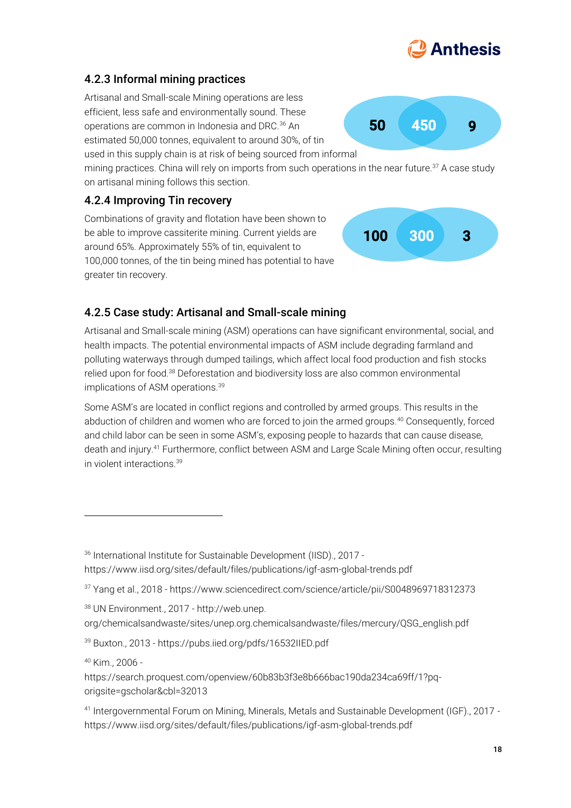## 4.2.3 Informal mining practices

Artisanal and Small-scale Mining operations are less efficient, less safe and environmentally sound. These operations are common in Indonesia and DRC.<sup>36</sup> An estimated 50,000 tonnes, equivalent to around 30%, of tin

used in this supply chain is at risk of being sourced from informal mining practices. China will rely on imports from such operations in the near future.<sup>37</sup> A case study

on artisanal mining follows this section.

## 4.2.4 Improving Tin recovery

Combinations of gravity and flotation have been shown to be able to improve cassiterite mining. Current yields are around 65%. Approximately 55% of tin, equivalent to 100,000 tonnes, of the tin being mined has potential to have greater tin recovery.

## 4.2.5 Case study: Artisanal and Small-scale mining

Artisanal and Small-scale mining (ASM) operations can have significant environmental, social, and health impacts. The potential environmental impacts of ASM include degrading farmland and polluting waterways through dumped tailings, which affect local food production and fish stocks relied upon for food.<sup>38</sup> Deforestation and biodiversity loss are also common environmental implications of ASM operations.<sup>39</sup>

<span id="page-17-0"></span>Some ASM's are located in conflict regions and controlled by armed groups. This results in the abduction of children and women who are forced to join the armed groups.<sup>40</sup> Consequently, forced and child labor can be seen in some ASM's, exposing people to hazards that can cause disease, death and injury.<sup>41</sup> Furthermore, conflict between ASM and Large Scale Mining often occur, resulting in violent interactions.[39](#page-17-0)



50 450 9



<sup>36</sup> International Institute for Sustainable Development (IISD)., 2017 https://www.iisd.org/sites/default/files/publications/igf-asm-global-trends.pdf

<sup>37</sup> Yang et al., 2018 - https://www.sciencedirect.com/science/article/pii/S0048969718312373

<sup>38</sup> UN Environment., 2017 - http://web.unep.

org/chemicalsandwaste/sites/unep.org.chemicalsandwaste/files/mercury/QSG\_english.pdf

<sup>39</sup> Buxton., 2013 - https://pubs.iied.org/pdfs/16532IIED.pdf

<sup>40</sup> Kim., 2006 -

https://search.proquest.com/openview/60b83b3f3e8b666bac190da234ca69ff/1?pqorigsite=gscholar&cbl=32013

<sup>41</sup> Intergovernmental Forum on Mining, Minerals, Metals and Sustainable Development (IGF)., 2017 https://www.iisd.org/sites/default/files/publications/igf-asm-global-trends.pdf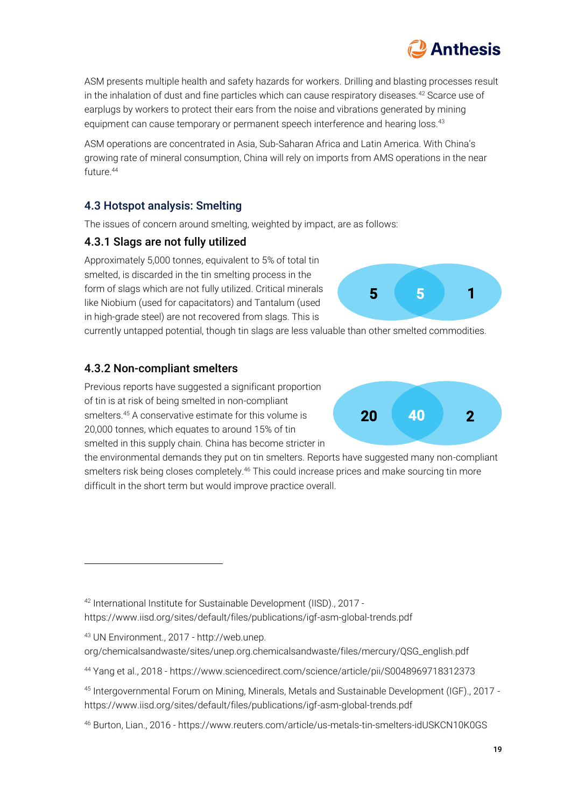19

ASM presents multiple health and safety hazards for workers. Drilling and blasting processes result in the inhalation of dust and fine particles which can cause respiratory diseases.<sup>42</sup> Scarce use of earplugs by workers to protect their ears from the noise and vibrations generated by mining equipment can cause temporary or permanent speech interference and hearing loss.<sup>43</sup>

ASM operations are concentrated in Asia, Sub-Saharan Africa and Latin America. With China's growing rate of mineral consumption, China will rely on imports from AMS operations in the near  $f$ uture.  $44$ 

## 4.3 Hotspot analysis: Smelting

The issues of concern around smelting, weighted by impact, are as follows:

## 4.3.1 Slags are not fully utilized

Approximately 5,000 tonnes, equivalent to 5% of total tin smelted, is discarded in the tin smelting process in the form of slags which are not fully utilized. Critical minerals like Niobium (used for capacitators) and Tantalum (used in high-grade steel) are not recovered from slags. This is

currently untapped potential, though tin slags are less valuable than other smelted commodities.

### 4.3.2 Non-compliant smelters

Previous reports have suggested a significant proportion of tin is at risk of being smelted in non-compliant smelters.<sup>45</sup> A conservative estimate for this volume is 20,000 tonnes, which equates to around 15% of tin smelted in this supply chain. China has become stricter in

the environmental demands they put on tin smelters. Reports have suggested many non-compliant smelters risk being closes completely.<sup>46</sup> This could increase prices and make sourcing tin more difficult in the short term but would improve practice overall.



5 | 1



<sup>42</sup> International Institute for Sustainable Development (IISD)., 2017 https://www.iisd.org/sites/default/files/publications/igf-asm-global-trends.pdf

<sup>43</sup> UN Environment., 2017 - http://web.unep.

org/chemicalsandwaste/sites/unep.org.chemicalsandwaste/files/mercury/QSG\_english.pdf

<sup>44</sup> Yang et al., 2018 - https://www.sciencedirect.com/science/article/pii/S0048969718312373

<sup>45</sup> Intergovernmental Forum on Mining, Minerals, Metals and Sustainable Development (IGF)., 2017 https://www.iisd.org/sites/default/files/publications/igf-asm-global-trends.pdf

<sup>46</sup> Burton, Lian., 2016 - https://www.reuters.com/article/us-metals-tin-smelters-idUSKCN10K0GS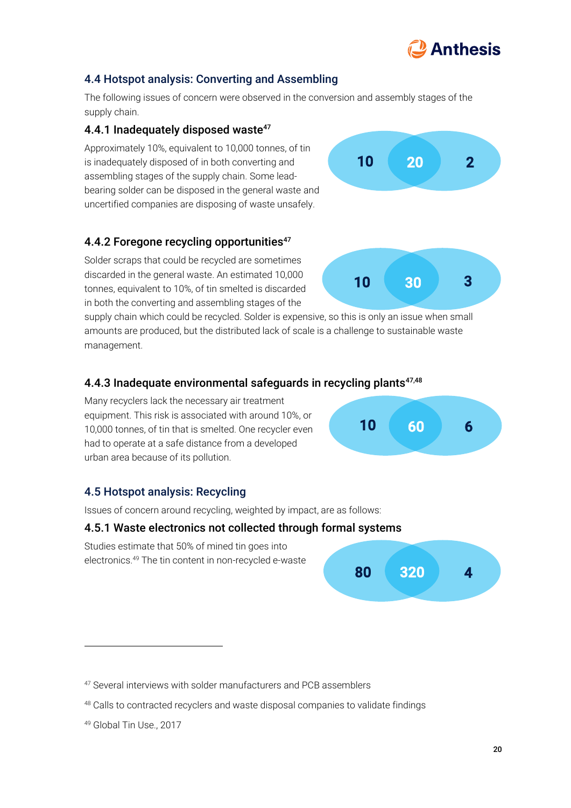# **Anthesis**

## 4.4 Hotspot analysis: Converting and Assembling

The following issues of concern were observed in the conversion and assembly stages of the supply chain.

### 4.4.1 Inadequately disposed waste<sup>47</sup>

Approximately 10%, equivalent to 10,000 tonnes, of tin is inadequately disposed of in both converting and assembling stages of the supply chain. Some leadbearing solder can be disposed in the general waste and uncertified companies are disposing of waste unsafely.

### 4.4.2 Foregone recycling opportunities<sup>[47](#page-19-0)</sup>

Solder scraps that could be recycled are sometimes discarded in the general waste. An estimated 10,000 tonnes, equivalent to 10%, of tin smelted is discarded in both the converting and assembling stages of the

supply chain which could be recycled. Solder is expensive, so this is only an issue when small amounts are produced, but the distributed lack of scale is a challenge to sustainable waste management.

#### 4.4.3 Inadequate environmental safeguards in recycling plants $47,48$  $47,48$

Many recyclers lack the necessary air treatment equipment. This risk is associated with around 10%, or 10,000 tonnes, of tin that is smelted. One recycler even had to operate at a safe distance from a developed urban area because of its pollution.

## 4.5 Hotspot analysis: Recycling

Issues of concern around recycling, weighted by impact, are as follows:

#### 4.5.1 Waste electronics not collected through formal systems

Studies estimate that 50% of mined tin goes into electronics.<sup>49</sup> The tin content in non-recycled e-waste



10 60 6

<span id="page-19-0"></span>



<sup>47</sup> Several interviews with solder manufacturers and PCB assemblers

<sup>48</sup> Calls to contracted recyclers and waste disposal companies to validate findings

<sup>49</sup> Global Tin Use., 2017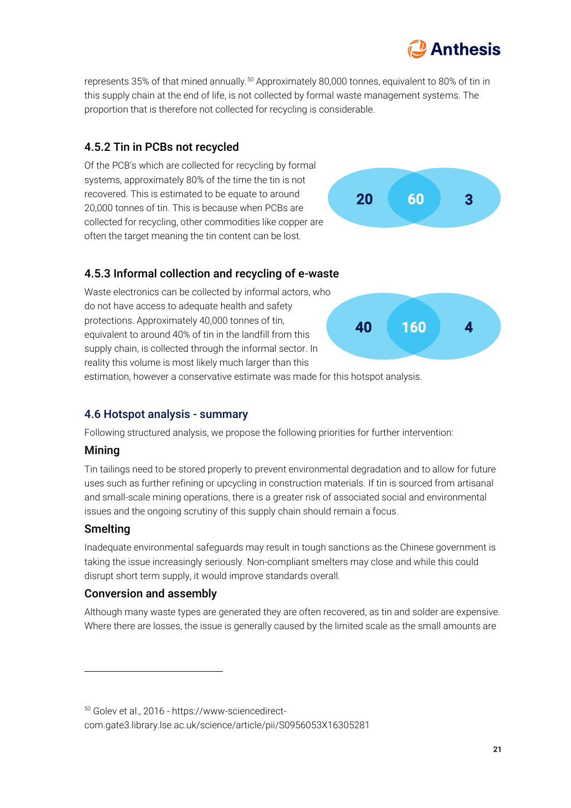

represents 35% of that mined annually.<sup>50</sup> Approximately 80,000 tonnes, equivalent to 80% of tin in this supply chain at the end of life, is not collected by formal waste management systems. The proportion that is therefore not collected for recycling is considerable.

## 4.5.2 Tin in PCBs not recycled

Of the PCB's which are collected for recycling by formal systems, approximately 80% of the time the tin is not recovered. This is estimated to be equate to around 20,000 tonnes of tin. This is because when PCBs are collected for recycling, other commodities like copper are often the target meaning the tin content can be lost.



## 4.5.3 Informal collection and recycling of e-waste

Waste electronics can be collected by informal actors, who do not have access to adequate health and safety protections. Approximately 40,000 tonnes of tin, equivalent to around 40% of tin in the landfill from this supply chain, is collected through the informal sector. In reality this volume is most likely much larger than this



estimation, however a conservative estimate was made for this hotspot analysis.

#### 4.6 Hotspot analysis - summary

Following structured analysis, we propose the following priorities for further intervention:

#### **Mining**

Tin tailings need to be stored properly to prevent environmental degradation and to allow for future uses such as further refining or upcycling in construction materials. If tin is sourced from artisanal and small-scale mining operations, there is a greater risk of associated social and environmental issues and the ongoing scrutiny of this supply chain should remain a focus.

#### Smelting

Inadequate environmental safeguards may result in tough sanctions as the Chinese government is taking the issue increasingly seriously. Non-compliant smelters may close and while this could disrupt short term supply, it would improve standards overall.

#### Conversion and assembly

Although many waste types are generated they are often recovered, as tin and solder are expensive. Where there are losses, the issue is generally caused by the limited scale as the small amounts are

<sup>50</sup> Golev et al., 2016 - https://www-sciencedirect-

com.gate3.library.lse.ac.uk/science/article/pii/S0956053X16305281